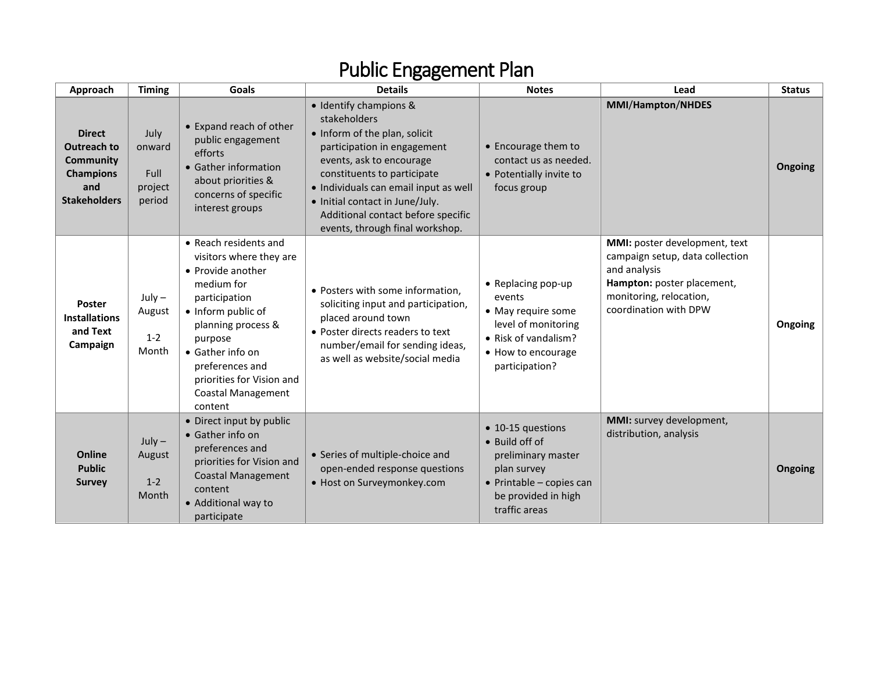| Approach                                                                                           | <b>Timing</b>                               | Goals                                                                                                                                                                                                                                                                   | <b>Details</b>                                                                                                                                                                                                                                                                                                         | <b>Notes</b>                                                                                                                                 | Lead                                                                                                                                                               | <b>Status</b> |
|----------------------------------------------------------------------------------------------------|---------------------------------------------|-------------------------------------------------------------------------------------------------------------------------------------------------------------------------------------------------------------------------------------------------------------------------|------------------------------------------------------------------------------------------------------------------------------------------------------------------------------------------------------------------------------------------------------------------------------------------------------------------------|----------------------------------------------------------------------------------------------------------------------------------------------|--------------------------------------------------------------------------------------------------------------------------------------------------------------------|---------------|
| <b>Direct</b><br>Outreach to<br><b>Community</b><br><b>Champions</b><br>and<br><b>Stakeholders</b> | July<br>onward<br>Full<br>project<br>period | • Expand reach of other<br>public engagement<br>efforts<br>• Gather information<br>about priorities &<br>concerns of specific<br>interest groups                                                                                                                        | · Identify champions &<br>stakeholders<br>• Inform of the plan, solicit<br>participation in engagement<br>events, ask to encourage<br>constituents to participate<br>· Individuals can email input as well<br>• Initial contact in June/July.<br>Additional contact before specific<br>events, through final workshop. | • Encourage them to<br>contact us as needed.<br>• Potentially invite to<br>focus group                                                       | <b>MMI/Hampton/NHDES</b>                                                                                                                                           | Ongoing       |
| <b>Poster</b><br><b>Installations</b><br>and Text<br>Campaign                                      | $July -$<br>August<br>$1 - 2$<br>Month      | • Reach residents and<br>visitors where they are<br>• Provide another<br>medium for<br>participation<br>• Inform public of<br>planning process &<br>purpose<br>• Gather info on<br>preferences and<br>priorities for Vision and<br><b>Coastal Management</b><br>content | • Posters with some information,<br>soliciting input and participation,<br>placed around town<br>• Poster directs readers to text<br>number/email for sending ideas,<br>as well as website/social media                                                                                                                | • Replacing pop-up<br>events<br>• May require some<br>level of monitoring<br>• Risk of vandalism?<br>• How to encourage<br>participation?    | MMI: poster development, text<br>campaign setup, data collection<br>and analysis<br>Hampton: poster placement,<br>monitoring, relocation,<br>coordination with DPW | Ongoing       |
| Online<br><b>Public</b><br><b>Survey</b>                                                           | $July -$<br>August<br>$1 - 2$<br>Month      | • Direct input by public<br>• Gather info on<br>preferences and<br>priorities for Vision and<br><b>Coastal Management</b><br>content<br>• Additional way to<br>participate                                                                                              | • Series of multiple-choice and<br>open-ended response questions<br>• Host on Surveymonkey.com                                                                                                                                                                                                                         | • 10-15 questions<br>• Build off of<br>preliminary master<br>plan survey<br>• Printable - copies can<br>be provided in high<br>traffic areas | MMI: survey development,<br>distribution, analysis                                                                                                                 | Ongoing       |

## Public Engagement Plan